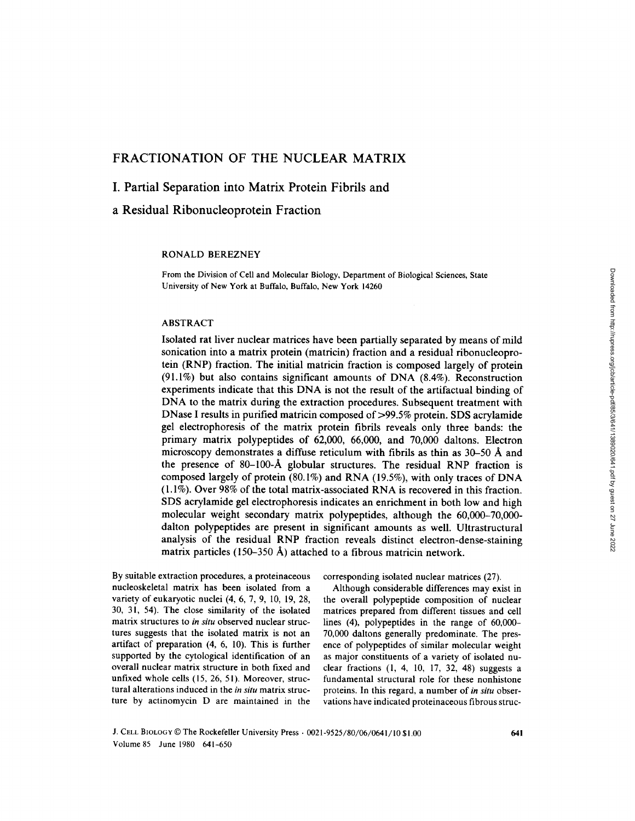# FRACTIONATION OF THE NUCLEAR MATRIX

# I. Partial Separation into Matrix Protein Fibrils and

a Residual Ribonucleoprotein Fraction

#### RONALD BEREZNEY

From the Division of Cell and Molecular Biology, Department of Biological Sciences, State University of New York at Buffalo, Buffalo, New York 14260

### ABSTRACT

Isolated rat liver nuclear matrices have been partially separated by means of mild sonication into a matrix protein (matricin) fraction and a residual ribonucleoprotein (RNP) fraction . The initial matricin fraction is composed largely of protein (91.1%) but also contains significant amounts of DNA  $(8.4\%)$ . Reconstruction experiments indicate that this DNA is not the result of the artifactual binding of DNA to the matrix during the extraction procedures. Subsequent treatment with DNase <sup>I</sup> results in purified matricin composed of >99 .5% protein. SDS acrylamide gel electrophoresis of the matrix protein fibrils reveals only three bands: the primary matrix polypeptides of 62,000, 66,000, and 70,000 daltons. Electron microscopy demonstrates a diffuse reticulum with fibrils as thin as 30-50 A and the presence of 80-100-A globular structures . The residual RNP fraction is composed largely of protein (80 .1%) and RNA (19 .5%), with only traces of DNA  $(1.1\%)$ . Over 98% of the total matrix-associated RNA is recovered in this fraction. SDS acrylamide gel electrophoresis indicates an enrichment in both low and high molecular weight secondary matrix polypeptides, although the 60,000-70,000 dalton polypeptides are present in significant amounts as well. Ultrastructural analysis of the residual RNP fraction reveals distinct electron-dense-staining matrix particles (150-350 A) attached to a fibrous matricin network.

By suitable extraction procedures, a proteinaceous nucleoskeletal matrix has been isolated from a variety of eukaryotic nuclei (4, 6, 7, 9, 10, 19, 28, 30, 31, 54). The close similarity of the isolated matrix structures to in situ observed nuclear structures suggests that the isolated matrix is not an artifact of preparation  $(4, 6, 10)$ . This is further supported by the cytological identification of an overall nuclear matrix structure in both fixed and unfixed whole cells (15, 26, 51). Moreover, structural alterations induced in the in situ matrix structure by actinomycin D are maintained in the

corresponding isolated nuclear matrices (27)

Although considerable differences may exist in the overall polypeptide composition of nuclear matrices prepared from different tissues and cell lines (4), polypeptides in the range of 60,000- 70,000 daltons generally predominate . The presence of polypeptides of similar molecular weight as major constituents of a variety of isolated nuclear fractions (1, 4, 10, 17, 32, 48) suggests a fundamental structural role for these nonhistone proteins. In this regard, a number of in situ observations have indicated proteinaceous fibrous struc-

J. CELL BIOLOGY © The Rockefeller University Press · 0021-9525/80/06/0641/10 \$1.00 Volume 85 June 1980 641-650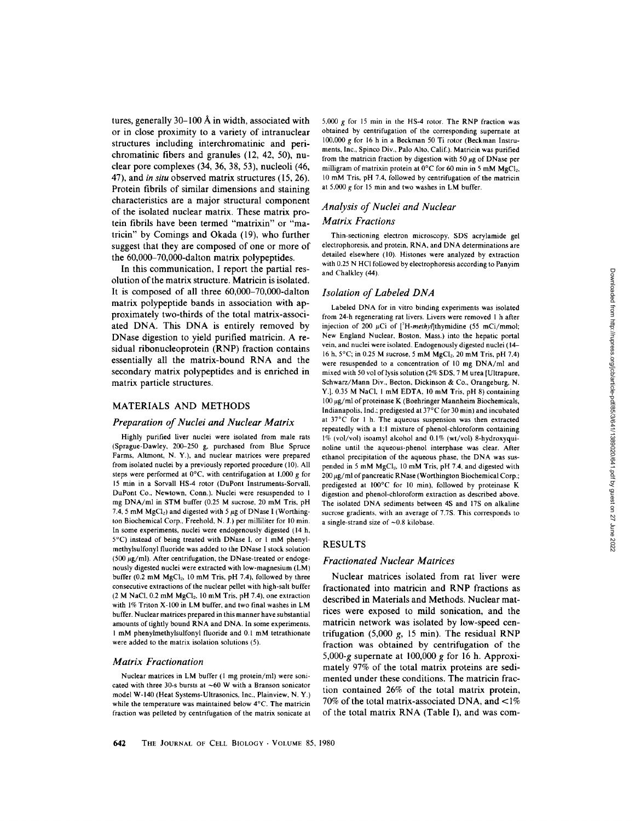tures, generally  $30-100$  Å in width, associated with or in close proximity to a variety of intranuclear structures including interchromatinic and perichromatinic fibers and granules (12, 42, 50), nuclear pore complexes (34, 36, 38, 53), nucleoli (46, 47), and in situ observed matrix structures (15, 26). Protein fibrils of similar dimensions and staining characteristics are a major structural component of the isolated nuclear matrix . These matrix protein fibrils have been termed "matrixin" or "matricin" by Comings and Okada (19), who further suggest that they are composed of one or more of the 60,000-70,000-dalton matrix polypeptides .

In this communication, I report the partial resolution of the matrix structure. Matricin is isolated. It is composed of all three 60,000-70,000-dalton matrix polypeptide bands in association with approximately two-thirds of the total matrix-associated DNA. This DNA is entirely removed by DNase digestion to yield purified matricin . A residual ribonucleoprotein (RNP) fraction contains essentially all the matrix-bound RNA and the secondary matrix polypeptides and is enriched in matrix particle structures.

### MATERIALS AND METHODS

### Preparation of Nuclei and Nuclear Matrix

Highly purified liver nuclei were isolated from male rats (Sprague-Dawley, 200-250 g, purchased from Blue Spruce Farms, Altmont, N. Y.), and nuclear matrices were prepared from isolated nuclei by a previously reported procedure (10) . All steps were performed at  $0^{\circ}$ C, with centrifugation at 1,000 g for <sup>15</sup> min in a Sorvall HS-4 rotor (DuPont Instruments-Sorvall, DuPont Co., Newtown, Conn.). Nuclei were resuspended to 1 mg DNA/ml in STM buffer (0.25 M sucrose, 20 mM Tris, pH 7.4, 5 mM  $MgCl<sub>2</sub>$ ) and digested with 5  $\mu$ g of DNase I (Worthington Biochemical Corp., Freehold, N. J.) per milliliter for 10 min. In some experiments, nuclei were endogenously digested (14 h, 5°C) instead of being treated with DNase l, or <sup>l</sup> mM phenylmethylsulfonyl fluoride was added to the DNase <sup>I</sup> stock solution (500  $\mu$ g/ml). After centrifugation, the DNase-treated or endogenously digested nuclei were extracted with low-magnesium (LM) buffer (0.2 mM  $MgCl<sub>2</sub>$ , 10 mM Tris, pH 7.4), followed by three consecutive extractions of the nuclear pellet with high-salt buffer  $(2 M NaCl, 0.2 mM MgCl<sub>2</sub>, 10 mM Tris, pH 7.4)$ , one extraction with 1% Triton X-100 in LM buffer, and two final washes in LM buffer. Nuclear matrices prepared in this manner have substantial amounts of tightly bound RNA and DNA. In some experiments, <sup>I</sup> mM phenylmethylsulfonyl fluoride and 0.1 mM tetrathionate were added to the matrix isolation solutions (5).

### Matrix Fractionation

Nuclear matrices in LM buffer (I mg protein/ml) were sonicated with three 30-s bursts at  $~60$  W with a Branson sonicator model W-140 (Heat Systems-Ultrasonics, Inc., Plainview, N. Y.) while the temperature was maintained below 4°C. The matricin fraction was pelleted by centrifugation of the matrix sonicate at 5,000 g for 15 min in the HS-4 rotor. The RNP fraction was obtained by centrifugation of the corresponding supernate at 100,000 g for <sup>16</sup> h in a Beckman <sup>50</sup> Ti rotor (Beckman Instruments, Inc., Spinco Div., Palo Alto, Calif.) . Matricin was purified from the matricin fraction by digestion with 50  $\mu$ g of DNase per milligram of matrixin protein at  $0^{\circ}$ C for 60 min in 5 mM MgCl<sub>2</sub>, <sup>10</sup> mM Tris, pH <sup>7</sup> .4, followed by centrifugation of the matricin at 5,000 g for <sup>15</sup> min and two washes in LM buffer .

# Analysis of Nuclei and Nuclear Matrix Fractions

Thin-sectioning electron microscopy, SDS acrylamide gel electrophoresis, and protein, RNA, and DNA determinations are detailed elsewhere (10). Histones were analyzed by extraction with 0.25 N HCl followed by electrophoresis according to Panyim and Chalkley (44)

#### Isolation of Labeled DNA

Labeled DNA for in vitro binding experiments was isolated from 24-h regenerating rat livers . Livers were removed <sup>I</sup> h after injection of 200  $\mu$ Ci of [<sup>3</sup>H-methyl]thymidine (55 mCi/mmol; New England Nuclear, Boston, Mass.) into the hepatic portal vein, and nuclei were isolated. Endogenously digested nuclei (14-16 h, 5°C; in 0.25 M sucrose, 5 mM MgCl<sub>2</sub>, 20 mM Tris, pH 7.4) were resuspended to a concentration of <sup>10</sup> mg DNA/ml and mixed with 50 vol of lysis solution (2% SDS, <sup>7</sup> Murea [Ultrapure, Schwarz/Mann Div., Becton, Dickinson & Co., Orangeburg, N. Y.], 0.35 M NaCl, <sup>I</sup> mM EDTA, <sup>10</sup> mM Tris, pH 8) containing  $100 \,\mu$ g/ml of proteinase K (Boehringer Mannheim Biochemicals, Indianapolis, Ind.; predigested at 37°C for 30 min) and incubated at 37°C for <sup>I</sup> h. The aqueous suspension was then extracted repeatedly with a 1:1 mixture of phenol-chloroform containing 1% (vol/vol) isoamyl alcohol and 0.1% (wt/vol) 8-hydroxyquinoline until the aqueous-phenol interphase was clear. After ethanol precipitation of the aqueous phase, the DNA was suspended in 5 mM MgCl<sub>2</sub>, 10 mM Tris, pH 7.4, and digested with  $200 \,\mu$ g/ml of pancreatic RNase (Worthington Biochemical Corp.; predigested at 100°C for 10 min), followed by proteinase K digestion and phenol-chloroform extraction as described above. The isolated DNA sediments between 4S and 17S on alkaline sucrose gradients, with an average of 7.7S. This corresponds to a single-strand size of  $-0.8$  kilobase.

#### RESULTS

#### Fractionated Nuclear Matrices

Nuclear matrices isolated from rat liver were fractionated into matricin and RNP fractions as described in Materials and Methods. Nuclear matrices were exposed to mild sonication, and the matricin network was isolated by low-speed centrifugation  $(5,000 \text{ g}, 15 \text{ min})$ . The residual RNP fraction was obtained by centrifugation of the 5,000-g supernate at 100,000 g for 16 h. Approximately 97% of the total matrix proteins are sedimented under these conditions. The matricin fraction contained 26% of the total matrix protein, 70% of the total matrix-associated DNA, and  $\langle 1\%$ of the total matrix RNA (Table I), and was com-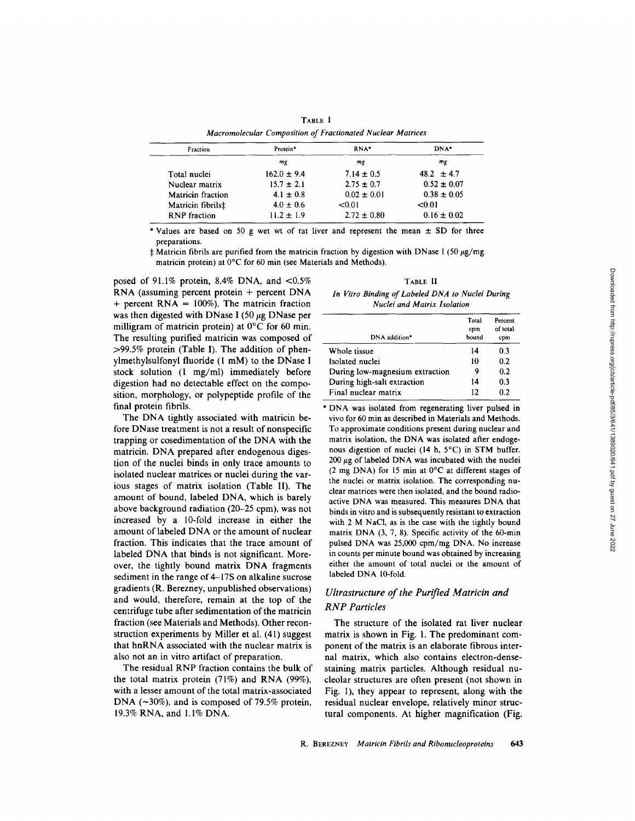| TABLE I<br>Macromolecular Composition of Fractionated Nuclear Matrices |  |  |  |  |  |
|------------------------------------------------------------------------|--|--|--|--|--|
|                                                                        |  |  |  |  |  |

| Fraction                 | RNA*<br>Protein* |                 | DNA*            |  |
|--------------------------|------------------|-----------------|-----------------|--|
|                          | mg               | mg              | mg              |  |
| Total nuclei             | $162.0 \pm 9.4$  | $7.14 \pm 0.5$  | 48.2 $\pm$ 4.7  |  |
| Nuclear matrix           | $15.7 \pm 2.1$   | $2.75 \pm 0.7$  | $0.52 \pm 0.07$ |  |
| <b>Matricin</b> fraction | $4.1 \pm 0.8$    | $0.02 \pm 0.01$ | $0.38 \pm 0.05$ |  |
| Matricin fibrils‡        | $4.0 \pm 0.6$    | < 0.01          | < 0.01          |  |
| <b>RNP</b> fraction      | $11.2 \pm 1.9$   | $2.72 \pm 0.80$ | $0.16 \pm 0.02$ |  |

\* Values are based on 50 g wet wt of rat liver and represent the mean  $\pm$  SD for three preparations.

 $\pm$  Matricin fibrils are purified from the matricin fraction by digestion with DNase I (50  $\mu$ g/mg) matricin protein) at 0°C for 60 min (see Materials and Methods).

posed of 91.1% protein, 8.4% DNA, and  $\langle 0.5\%$ RNA (assuming percent protein + percent DNA + percent  $RNA = 100\%$ ). The matricin fraction was then digested with DNase I (50  $\mu$ g DNase per milligram of matricin protein) at 0°C for 60 min. The resulting purified matricin was composed of  $>99.5\%$  protein (Table I). The addition of phenylmethylsulfonyl fluoride (1 mM) to the DNase <sup>I</sup> stock solution (1 mg/ml) immediately before digestion had no detectable effect on the composition, morphology, or polypeptide profile of the final protein fibrils.

The DNA tightly associated with matricin before DNase treatment is not a result of nonspecific trapping or cosedimentation of the DNA with the matricin. DNA prepared after endogenous digestion of the nuclei binds in only trace amounts to isolated nuclear matrices or nuclei during the various stages of matrix isolation (Table II). The amount of bound, labeled DNA, which is barely above background radiation (20-25 cpm), was not increased by a 10-fold increase in either the amount of labeled DNA or the amount of nuclear fraction. This indicates that the trace amount of labeled DNA that binds is not significant. Moreover, the tightly bound matrix DNA fragments sediment in the range of 4-17S on alkaline sucrose gradients (R. Berezney, unpublished observations) and would, therefore, remain at the top of the centrifuge tube after sedimentation of the matricin fraction (see Materials and Methods). Other reconstruction experiments by Miller et al. (41) suggest that hnRNA associated with the nuclear matrix is also not an in vitro artifact of preparation.

The residual RNP fraction contains the bulk of the total matrix protein (71%) and RNA (99%), with a lesser amount of the total matrix-associated DNA ( $\sim$ 30%), and is composed of 79.5% protein, 19.3% RNA, and 1.1% DNA.

TABLE II In Vitro Binding of Labeled DNA to Nuclei During Nuclei and Matrix Isolation

| DNA addition*                   | Total<br>cpm<br>bound | Percent<br>of total<br>cpm |
|---------------------------------|-----------------------|----------------------------|
| Whole tissue                    | 14                    | 0.3                        |
| Isolated nuclei                 | 10                    | 0.2                        |
| During low-magnesium extraction | 9                     | 0.2                        |
| During high-salt extraction     | 14                    | 0.3                        |
| Final nuclear matrix            | 12                    | 0.2                        |

\* DNA was isolated from regenerating liver pulsed in vivo for 60 min as described in Materials and Methods To approximate conditions present during nuclear and matrix isolation, the DNA was isolated after endogenous digestion of nuclei (14 h, 5°C) in STM buffer.  $200 \mu$ g of labeled DNA was incubated with the nuclei (2 mg DNA) for <sup>15</sup> min at 0°C at different stages of the nuclei or matrix isolation. The corresponding nuclear matrices were then isolated, and the bound radioactive DNA was measured. This measures DNA that binds in vitro and is subsequently resistant to extraction with 2 M NaCl, as is the case with the tightly bound matrix DNA (3, 7, 8). Specific activity of the 60-min pulsed DNA was 25,000 cpm/mg DNA. No increase in counts per minute bound was obtained by increasing either the amount of total nuclei or the amount of labeled DNA 10-fold.

# Ultrastructure of the Purified Matricin and RNP Particles

The structure of the isolated rat liver nuclear matrix is shown in Fig. 1. The predominant component of the matrix is an elaborate fibrous internal matrix, which also contains electron-densestaining matrix particles. Although residual nucleolar structures are often present (not shown in Fig. 1), they appear to represent, along with the residual nuclear envelope, relatively minor structural components. At higher magnification (Fig: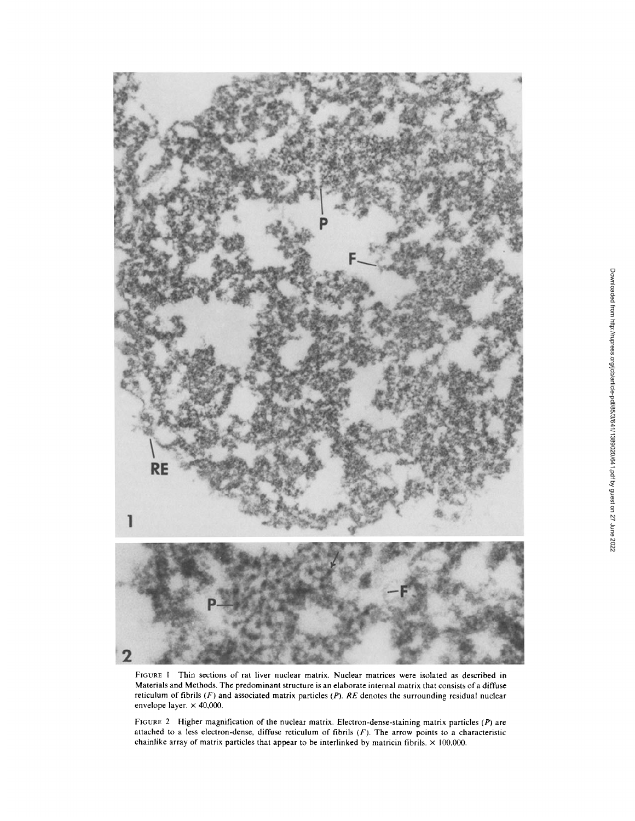

FIGURE 1 Thin sections of rat liver nuclear matrix. Nuclear matrices were isolated as described in Materials and Methods . The predominant structure is an elaborate internal matrix that consists of a diffuse reticulum of fibrils  $(F)$  and associated matrix particles  $(P)$ . RE denotes the surrounding residual nuclear envelope layer.  $\times$  40,000.

FIGURE 2 Higher magnification of the nuclear matrix. Electron-dense-staining matrix particles (P) are attached to a less electron-dense, diffuse reticulum of fibrils  $(F)$ . The arrow points to a characteristic chainlike array of matrix particles that appear to be interlinked by matricin fibrils.  $\times$  100,000.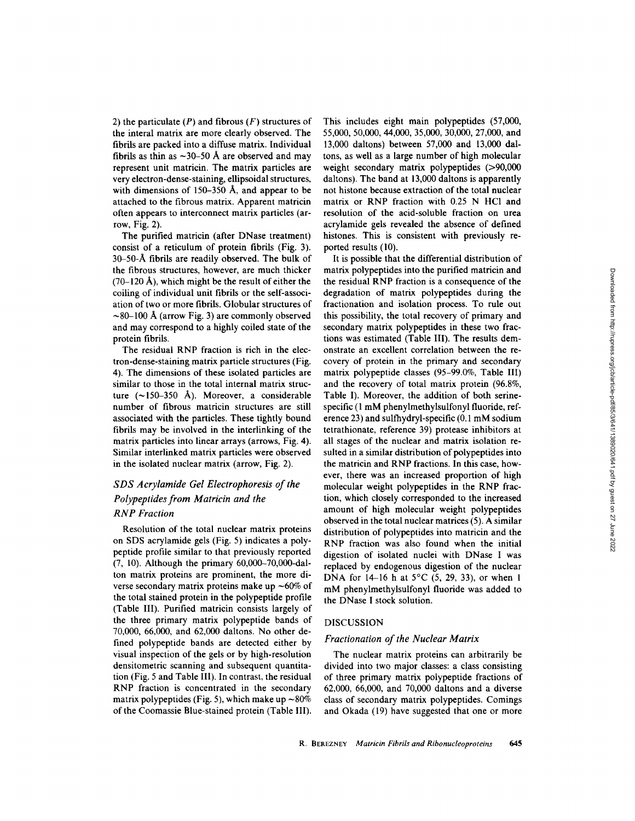2) the particulate  $(P)$  and fibrous  $(F)$  structures of the interal matrix are more clearly observed. The fibrils are packed into a diffuse matrix. Individual fibrils as thin as  $\sim$ 30–50 Å are observed and may represent unit matricin. The matrix particles are very electron-dense-staining, ellipsoidal structures, with dimensions of 150–350 Å, and appear to be attached to the fibrous matrix. Apparent matricin often appears to interconnect matrix particles (arrow, Fig. 2) .

The purified matricin (after DNase treatment) consist of a reticulum of protein fibrils (Fig. 3). 30-50-A fibrils are readily observed. The bulk of the fibrous structures, however, are much thicker  $(70-120 \text{ Å})$ , which might be the result of either the coiling of individual unit fibrils or the self-association of two or more fibrils. Globular structures of  $\sim$ 80-100 Å (arrow Fig. 3) are commonly observed and may correspond to a highly coiled state of the protein fibrils.

The residual RNP fraction is rich in the electron-dense-staining matrix particle structures (Fig. 4) . The dimensions of these isolated particles are similar to those in the total internal matrix structure  $(\sim 150-350 \text{ Å})$ . Moreover, a considerable number of fibrous matricin structures are still associated with the particles. These tightly bound fibrils may be involved in the interlinking of the matrix particles into linear arrays (arrows, Fig. 4). Similar interlinked matrix particles were observed in the isolated nuclear matrix (arrow, Fig. 2).

# SDS Acrylamide Gel Electrophoresis of the Polypeptides from Matricin and the RNP Fraction

Resolution of the total nuclear matrix proteins on SDS acrylamide gels (Fig. 5) indicates a polypeptide profile similar to that previously reported (7, 10) . Although the primary 60,000-70,000-dalton matrix proteins are prominent, the more diverse secondary matrix proteins make up  $\sim 60\%$  of the total stained protein in the polypeptide profile (Table III). Purified matricin consists largely of the three primary matrix polypeptide bands of 70,000, 66,000, and 62,000 daltons. No other defined polypeptide bands are detected either by visual inspection of the gels or by high-resolution densitometric scanning and subsequent quantitation (Fig. 5 and Table III). In contrast, the residual RNP fraction is concentrated in the secondary matrix polypeptides (Fig. 5), which make up  $\sim 80\%$ of the Coomassie Blue-stained protein (Table III) .

This includes eight main polypeptides (57,000, 55,000, 50,000, 44,000, 35,000, 30,000, 27,000, and 13,000 daltons) between 57,000 and 13,000 daltons, as well as a large number of high molecular weight secondary matrix polypeptides (>90,000 daltons). The band at 13,000 daltons is apparently not histone because extraction of the total nuclear matrix or RNP fraction with 0.25 N HCl and resolution of the acid-soluble fraction on urea acrylamide gels revealed the absence of defined histones. This is consistent with previously reported results (10).

It is possible that the differential distribution of matrix polypeptides into the purified matricin and the residual RNP fraction is <sup>a</sup> consequence of the degradation of matrix polypeptides during the fractionation and isolation process. To rule out this possibility, the total recovery of primary and secondary matrix polypeptides in these two fractions was estimated (Table III). The results demonstrate an excellent correlation between the recovery of protein in the primary and secondary matrix polypeptide classes (95-99 .0%, Table III) and the recovery of total matrix protein (96 .8%, Table I). Moreover, the addition of both serinespecific (1 mM phenylmethylsulfonyl fluoride, reference 23) and sulfhydryl-specific  $(0.1 \text{ mM}$  sodium tetrathionate, reference 39) protease inhibitors at all stages of the nuclear and matrix isolation resulted in a similar distribution of polypeptides into the matricin and RNP fractions . In this case, however, there was an increased proportion of high molecular weight polypeptides in the RNP fraction, which closely corresponded to the increased amount of high molecular weight polypeptides observed in the total nuclear matrices (5) . A similar distribution of polypeptides into matricin and the RNP fraction was also found when the initial digestion of isolated nuclei with DNase <sup>I</sup> was replaced by endogenous digestion of the nuclear DNA for  $14-16$  h at  $5^{\circ}$ C (5, 29, 33), or when 1 mM phenylmethylsulfonyl fluoride was added to the DNase I stock solution.

### DISCUSSION

### Fractionation of the Nuclear Matrix

The nuclear matrix proteins can arbitrarily be divided into two major classes: a class consisting of three primary matrix polypeptide fractions of 62,000, 66,000, and 70,000 daltons and a diverse class of secondary matrix polypeptides . Comings and Okada (19) have suggested that one or more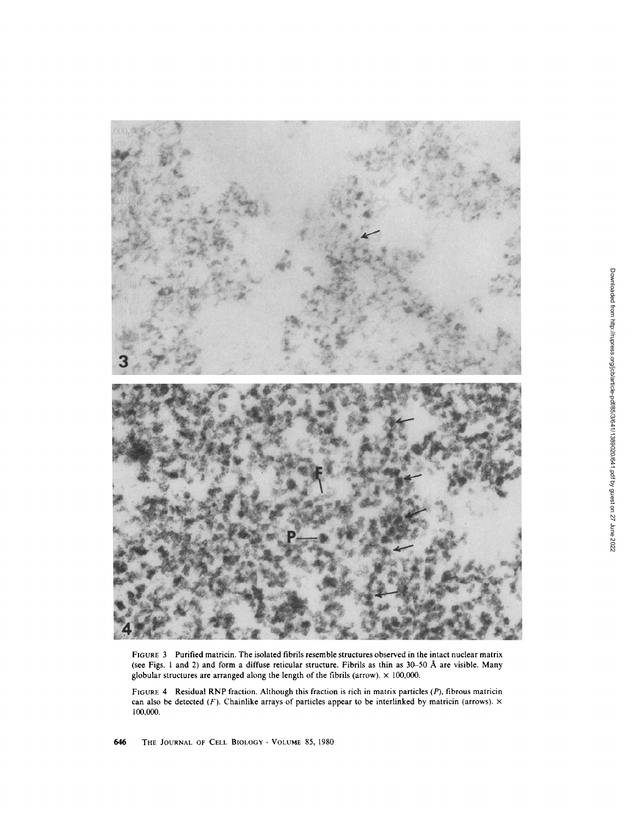

FIGURE 3 Purified matricin. The isolated fibrils resemble structures observed in the intact nuclear matrix (see Figs. <sup>1</sup> and 2) and form <sup>a</sup> diffuse reticular structure. Fibrils as thin as 30-50 A are visible. Many globular structures are arranged along the length of the fibrils (arrow).  $\times$  100,000.

FIGURE 4 Residual RNP fraction. Although this fraction is rich in matrix particles (P), fibrous matricin can also be detected (F). Chainlike arrays of particles appear to be interlinked by matricin (arrows).  $\times$ 100,000.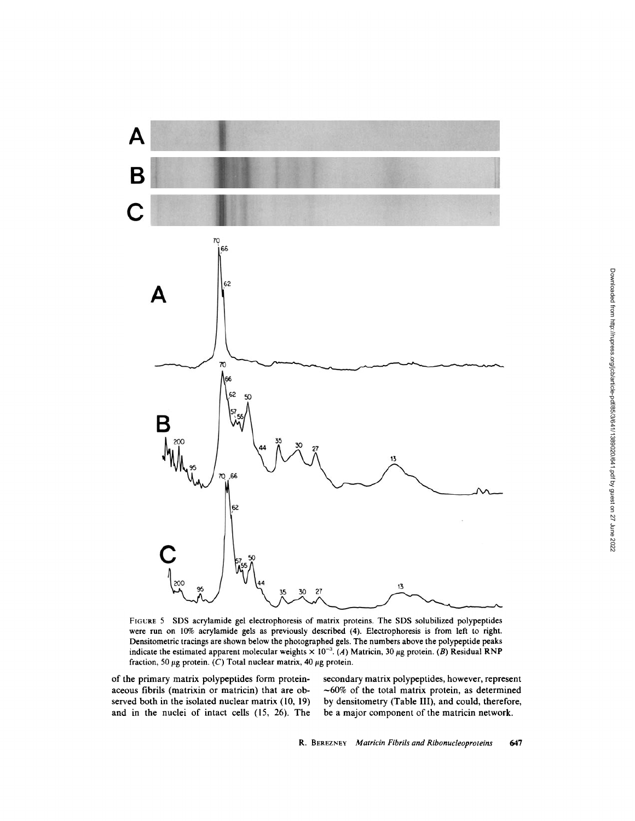

FIGURE <sup>5</sup> SDS acrylamide gel electrophoresis of matrix proteins. The SDS solubilized polypeptides were run on 10% acrylamide gels as previously described (4). Electrophoresis is from left to right. Densitometric tracings are shown below the photographed gels The numbers above the polypeptide peaks indicate the estimated apparent molecular weights  $\times$  10<sup>-3</sup>. (A) Matricin, 30 µg protein. (B) Residual RNP fraction, 50  $\mu$ g protein. (C) Total nuclear matrix, 40  $\mu$ g protein.

of the primary matrix polypeptides form proteinaceous fibrils (matrixin or matricin) that are observed both in the isolated nuclear matrix (10, 19) and in the nuclei of intact cells (l5, 26). The secondary matrix polypeptides, however, represent  $~1$ -60% of the total matrix protein, as determined by densitometry (Table III), and could, therefore, be a major component of the matricin network.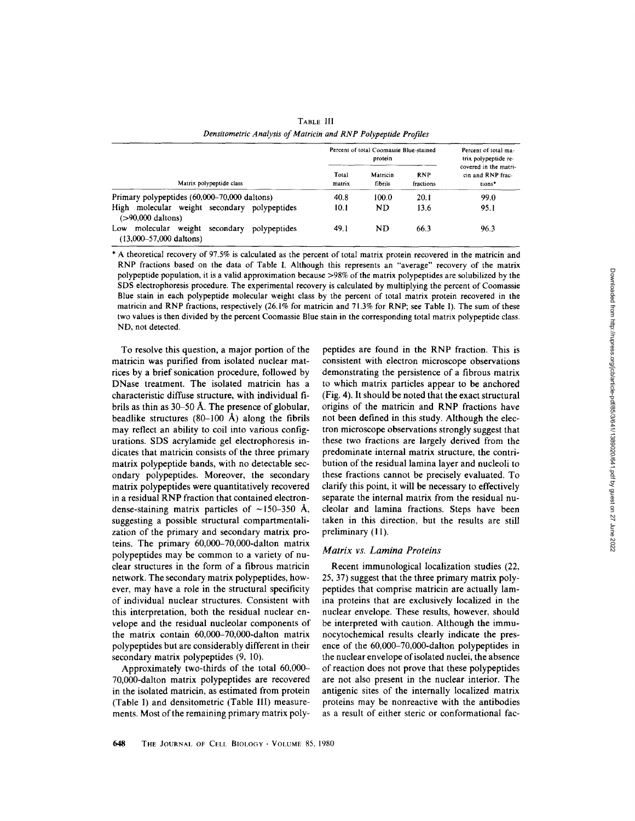|                                                                          | Percent of total Coomassie Blue-stained<br>protein |                     | Percent of total ma-<br>trix polypeptide re- |                                                      |
|--------------------------------------------------------------------------|----------------------------------------------------|---------------------|----------------------------------------------|------------------------------------------------------|
| Matrix polypeptide class                                                 | Total<br>matrix                                    | Matricin<br>fibrils | <b>RNP</b><br>fractions                      | covered in the matri-<br>cin and RNP frac-<br>tions* |
| Primary polypeptides (60,000–70,000 daltons)                             | 40.8                                               | 100.0               | 20.1                                         | 99.0                                                 |
| High<br>molecular weight secondary polypeptides<br>$( > 90,000$ daltons) | 10.1                                               | ND.                 | 13.6                                         | 95.1                                                 |

Low molecular weight secondary polypeptides 49.1 ND 66.3 96.3

TABLE 111 Densitometric Analysis of Matricin and RNP Polypeptide Profiles

\* A theoretical recovery of <sup>97</sup> .5% is calculated as the percent of total matrix protein recovered in the matricin and RNP fractions based on the data of Table I. Although this represents an "average" recovery of the matrix polypeptide population, it is <sup>a</sup> valid approximation because >98% of the matrix polypeptides are solubilized by the SDS electrophoresis procedure. The experimental recovery is calculated by multiplying the percent of Coomassie Blue stain in each polypeptide molecular weight class by the percent of total matrix protein recovered in the matricin and RNP fractions, respectively (26.1% for matricin and 71.3% for RNP; see Table 1). The sum of these two values is then divided by the percent Coomassie Blue stain in the corresponding total matrix polypeptide class. ND, not detected.

To resolve this question, <sup>a</sup> major portion of the matricin was purified from isolated nuclear matrices by a brief sonication procedure, followed by DNase treatment. The isolated matricin has <sup>a</sup> characteristic diffuse structure, with individual fibrils as thin as 30-50 A. The presence of globular, beadlike structures  $(80-100 \text{ Å})$  along the fibrils may reflect an ability to coil into various configurations. SDS acrylamide gel electrophoresis indicates that matricin consists of the three primary matrix polypeptide bands, with no detectable secondary polypeptides. Moreover, the secondary matrix polypeptides were quantitatively recovered in a residual RNP fraction that contained electrondense-staining matrix particles of  $\sim$ 150-350 Å, suggesting a possible structural compartmentalization of the primary and secondary matrix proteins. The primary 60,000-70,000-dalton matrix polypeptides may be common to a variety of nuclear structures in the form of a fibrous matricin network. The secondary matrix polypeptides, however, may have a role in the structural specificity of individual nuclear structures. Consistent with this interpretation, both the residual nuclear envelope and the residual nucleolar components of the matrix contain 60,000-70,000-dalton matrix polypeptides but are considerably different in their secondary matrix polypeptides (9, 10).

(13,000-57,000 daltons)

Approximately two-thirds of the total 60,000- 70,000-dalton matrix polypeptides are recovered in the isolated matricin, as estimated from protein (Table I) and densitometric (Table Ill) measurements. Most of the remaining primary matrix polypeptides are found in the RNP fraction . This is consistent with electron microscope observations demonstrating the persistence of a fibrous matrix to which matrix particles appear to be anchored (Fig. 4). It should be noted that the exact structural origins of the matricin and RNP fractions have not been defined in this study. Although the electron microscope observations strongly suggest that these two fractions are largely derived from the predominate internal matrix structure, the contribution of the residual lamina layer and nucleoli to these fractions cannot be precisely evaluated. To clarify this point, it will be necessary to effectively separate the internal matrix from the residual nucleolar and lamina fractions. Steps have been taken in this direction, but the results are still preliminary (11).

#### Matrix vs. Lamina Proteins

Recent immunological localization studies (22, 25, 37) suggest that the three primary matrix polypeptides that comprise matricin are actually lamina proteins that are exclusively localized in the nuclear envelope. These results, however, should be interpreted with caution. Although the immunocytochemical results clearly indicate the presence of the 60,000-70,000-dalton polypeptides in the nuclear envelope of isolated nuclei, the absence of reaction does not prove that these polypeptides are not also present in the nuclear interior. The antigenic sites of the internally localized matrix proteins may be nonreactive with the antibodies as a result of either steric or conformational fac-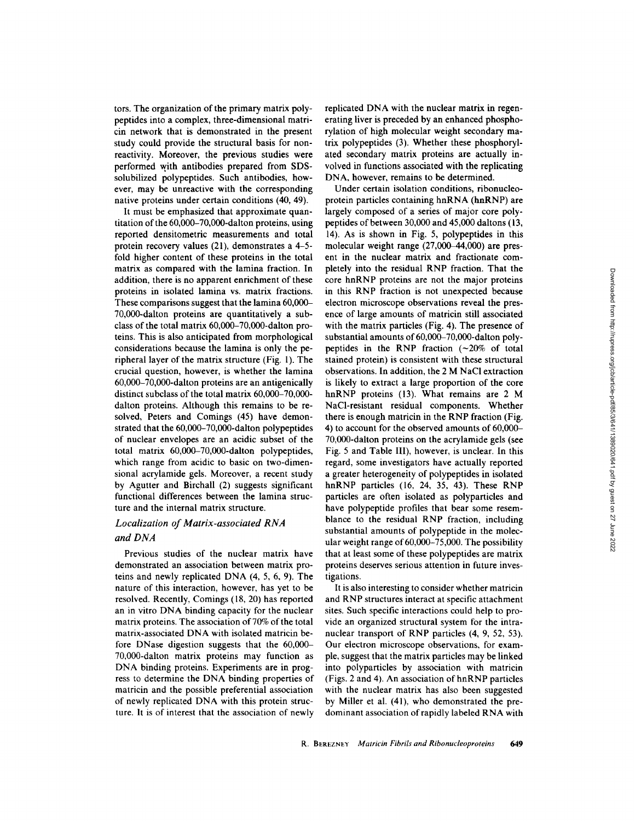tors . The organization of the primary matrix polypeptides into acomplex, three-dimensional matricin network that is demonstrated in the present study could provide the structural basis for nonreactivity. Moreover, the previous studies were performed with antibodies prepared from SDSsolubilized polypeptides. Such antibodies, however, may be unreactive with the corresponding native proteins under certain conditions (40, 49).

It must be emphasized that approximate quantitation of the 60,000-70,000-dalton proteins, using reported densitometric measurements and total protein recovery values (21), demonstrates a 4-5 fold higher content of these proteins in the total matrix as compared with the lamina fraction. In addition, there is no apparent enrichment of these proteins in isolated lamina vs. matrix fractions. These comparisons suggest that the lamina 60,000- 70,000-dalton proteins are quantitatively a subclass of the total matrix 60,000-70,000-dalton proteins. This is also anticipated from morphological considerations because the lamina is only the peripheral layer of the matrix structure (Fig. 1). The crucial question, however, is whether the lamina 60,000-70,000-dalton proteins are an antigenically distinct subclass of the total matrix  $60,000-70,000$ dalton proteins. Although this remains to be resolved, Peters and Comings (45) have demonstrated that the 60,000-70,000-dalton polypeptides of nuclear envelopes are an acidic subset of the total matrix 60,000-70,000-dalton polypeptides, which range from acidic to basic on two-dimensional acrylamide gels. Moreover, a recent study by Agutter and Birchall (2) suggests significant functional differences between the lamina structure and the internal matrix structure.

## Localization of Matrix-associated RNA and DNA

Previous studies of the nuclear matrix have demonstrated an association between matrix proteins and newly replicated DNA (4, 5, 6, 9) . The nature of this interaction, however, has yet to be resolved. Recently, Comings (18, 20) has reported an in vitro DNA binding capacity for the nuclear matrix proteins. The association of 70% of the total matrix-associated DNAwith isolated matricin before DNase digestion suggests that the 60,000- 70,000-dalton matrix proteins may function as DNA binding proteins. Experiments are in progress to determine the DNA binding properties of matricin and the possible preferential association of newly replicated DNA with this protein structure. It is of interest that the association of newly replicated DNA with the nuclear matrix in regenerating liver is preceded by an enhanced phosphorylation of high molecular weight secondary matrix polypeptides (3). Whether these phosphorylated secondary matrix proteins are actually involved in functions associated with the replicating DNA, however, remains to be determined.

Under certain isolation conditions, ribonucleoprotein particles containing hnRNA (hnRNP) are largely composed of a series of major core polypeptides of between 30,000 and 45,000 daltons (13, 14). As is shown in Fig. 5, polypeptides in this molecular weight range (27,000-44,000) are present in the nuclear matrix and fractionate completely into the residual RNP fraction. That the core hnRNP proteins are not the major proteins in this RNP fraction is not unexpected because electron microscope observations reveal the presence of large amounts of matricin still associated with the matrix particles (Fig. 4). The presence of substantial amounts of 60,000-70,000-dalton polypeptides in the RNP fraction  $(-20\% \text{ of total})$ stained protein) is consistent with these structural observations. In addition, the 2 M NaCl extraction is likely to extract a large proportion of the core hnRNP proteins (13). What remains are 2 M NaCl-resistant residual components. Whether there is enough matricin in the RNP fraction (Fig. 4) to account for the observed amounts of  $60,000-$ 70,000-dalton proteins on the acrylamide gels (see Fig. 5 and Table III), however, is unclear. In this regard, some investigators have actually reported a greater heterogeneity of polypeptides in isolated hnRNP particles (16, 24, 35, 43). These RNP particles are often isolated as polyparticles and have polypeptide profiles that bear some resemblance to the residual RNP fraction, including substantial amounts of polypeptide in the molecular weight range of  $60,000-75,000$ . The possibility that at least some of these polypeptides are matrix proteins deserves serious attention in future investigations.

It is also interesting to consider whether matricin and RNP structures interact at specific attachment sites. Such specific interactions could help to provide an organized structural system for the intranuclear transport of RNP particles (4, 9, 52, 53). Our electron microscope observations, for example, suggest that the matrix particles may be linked into polyparticles by association with matricin (Figs. 2 and 4) . An association of hnRNP particles with the nuclear matrix has also been suggested by Miller et al. (41), who demonstrated the predominant association of rapidly labeled RNAwith